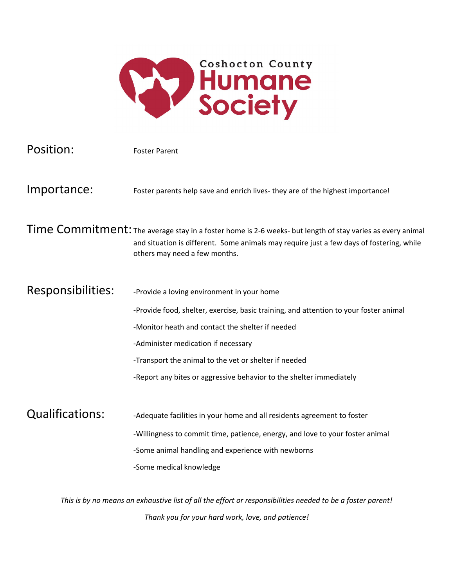

| Position:                                                                                                  | <b>Foster Parent</b>                                                                                                                                                                                                                    |
|------------------------------------------------------------------------------------------------------------|-----------------------------------------------------------------------------------------------------------------------------------------------------------------------------------------------------------------------------------------|
| Importance:                                                                                                | Foster parents help save and enrich lives- they are of the highest importance!                                                                                                                                                          |
|                                                                                                            | Time Commitment: The average stay in a foster home is 2-6 weeks- but length of stay varies as every animal<br>and situation is different. Some animals may require just a few days of fostering, while<br>others may need a few months. |
| Responsibilities:                                                                                          | -Provide a loving environment in your home                                                                                                                                                                                              |
|                                                                                                            | -Provide food, shelter, exercise, basic training, and attention to your foster animal                                                                                                                                                   |
|                                                                                                            | -Monitor heath and contact the shelter if needed                                                                                                                                                                                        |
|                                                                                                            | -Administer medication if necessary                                                                                                                                                                                                     |
|                                                                                                            | -Transport the animal to the vet or shelter if needed                                                                                                                                                                                   |
|                                                                                                            | -Report any bites or aggressive behavior to the shelter immediately                                                                                                                                                                     |
| <b>Qualifications:</b>                                                                                     | -Adequate facilities in your home and all residents agreement to foster                                                                                                                                                                 |
|                                                                                                            | -Willingness to commit time, patience, energy, and love to your foster animal                                                                                                                                                           |
|                                                                                                            | -Some animal handling and experience with newborns                                                                                                                                                                                      |
|                                                                                                            | -Some medical knowledge                                                                                                                                                                                                                 |
| This is by no means an exhaustive list of all the effort or responsibilities needed to be a foster parent! |                                                                                                                                                                                                                                         |
|                                                                                                            |                                                                                                                                                                                                                                         |

*Thank you for your hard work, love, and patience!*